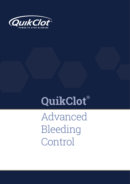

# **QuikClot®**

Advanced Bleeding Control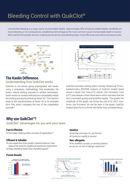## Bleeding Control with QuikClot®

Uncontrolled bleeding is a major cause of preventable deaths. Approximately 40% of trauma-related deaths worldwide are due to bleeding or its consequences, establishing hemorrhage as the most common cause of preventable death in trauma.<sup>7</sup> With QuikClot hemostatic devices, medical personnel can stop bleeding faster, more effectively and without excessive costs.



## **The Kaolin Difference.**  Understanding how QuikClot works

QuikClot is non-woven gauze impregnated with kaolin, using a proprietary methodology, that accelerates the body's natural clotting cascade to achieve hemostasis. Kaolin works on contact with blood to immediately initiate the clotting process by activating factor XII.4 This reaction leads to the transformation of factor XII to its activated form XIIa, which instigates the rest of the coagulation cascade.8



QuikClot promotes clotting within minutes. Rotational Thromboelastometry (ROTEM) analysis of QuikClot treated blood shows a faster Clot Time (CT), shorter Clot Formation Time (CFT) and steeper α than blood alone which indicates that the clot is activated quickly and amplifes rapidly. The greater the amplitude of the graph, the frmer the clot (A10, MCF: maximum clot frmness). As can be seen in the graph, QuikClot treated blood forms a frmer clot faster than untreated blood.

## **Why use QuikClot®?** QuikClot® advantages for you and your team

#### **Fast & Effective**

**Proven Results**

 $\bullet$  Promotes clotting within minutes of application<sup>1-5</sup>

#### **Efficient & Valuable**

- Less expensive than protein-based products; may reduce the need for additional expensive treatments<sup>4</sup>
- $\bullet$  Stops bleeding faster than standard gauze<sup>1-5</sup>

#### **Intuitive**

- Familiar and easy-to-use format
- Conforms readily to wound

#### **Non-allergenic**

- No shellfsh, human, or animal proteins
- Low-to-no risk of allergic response<sup>1,4</sup>



Source: Causey MW, McVay DP, Miller S, Beekley A, Martin M. The efcacy of Combat Gauze in extreme physiologic conditions.



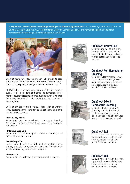**It's QuikClot Combat Gauze Technology Packaged for Hospital Applications:** The US Military Committee on Tactical Combat Casualty Care (CoTCCC) recommends QuikClot Combat Gauze® as the hemostatic agent of choice for compressible hemorrhage not amenable to tourniquet use<sup>6</sup>



QuikClot hemostatic devices are clinically proven to stop bleeding signifcantly faster and more effectively than standard gauze, helping you and your team save more lives.<sup>1</sup>

- FDA/CE cleared for local management of bleeding wounds such as cuts, lacerations and abrasions, temporary treatment of severely bleeding wounds such as surgical wounds (operative, postoperative, dermatological, etc.) and traumatic injuries.

QuikClot devices come in various sizes, with or without X-ray detectable strips, and can be utilized in multiple units of the hospital such as:

#### **• Emergency Room**

Procedures such as nosebleeds, lacerations, bleeding AV fistula, avulsions, amputations, road rash, traumatic wounds, etc.

#### **• Intensive Care Unit**

Procedures such as oozing lines, tubes and drains, fresh tracheostomy, skin tears, etc.

#### **• Operating Room**

Surgical wounds such as debridement, amputation, plastic surgery, pockets, ports, reconstructive, maxillofacial, skin incisional bleeding, traumatic wounds, etc.

#### **• Wound Care**

Procedures such as bleeding wounds, amputations, etc.



## **QuikClot® TraumaPad**

QuikClot TraumaPad is a 3-ply, 12-inch x 12-inch pad with an x-ray detectable strip, packaged in a foil peel pouch for aseptic removal.



#### **QuikClot® Roll Hemostatic Dressing**

QuikClot Roll Hemostatic Dressing is a 3-inch x 4-yard, rolled gauze with an x-ray detectable strip, packaged in a foil peel pouch for aseptic removal.



#### **QuikClot® Z-Fold Hemostatic Dressing**

QuikClot Z-Fold Hemostatic Dressing is a 3-inch x 4-yard, z-folded gauze with an x-ray detectable stip, packaged in a foil peel pouch for aseptic removal.



#### **QuikClot® 2x2**

QuikClot 2x2 is a 2-inch by 2-inch square with an x-ray detectable strip, packaged in a foil peel pouch for aseptic removal.



#### **QuikClot® 4x4**

QuikClot 4x4 is a 4-inch by 4-inch square with an x-ray detectable strip, packaged in a foil peel pouch for aseptic removal.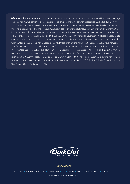**References: 1.** Trabattoni D, Montorsi P, Fabbiocchi F, Lualdi A, Gatto P, Bartorelli A. A new kaolin-based haemostatic bandage compared with manual compression for bleeding control after percutaneous coronary procedures. Eur Radiol. 2011;21:1687- 1691. **2.** Politi L, Aprile A, Paganelli C, et al. Randomized clinical trial on short-time compression with kaolin-flled pad: a new strategy to avoid early bleeding and subacute radial artery occlusion after percutaneous coronary intervention. J Interven Cardiol. 2011;24:65-72. **3.** Trabattoni D, Gatto P, Bartorelli A. A new kaolin-based hemostatic bandage use after coronary diagnostic and interventional procedures. Int J Cardiol. 2012;156(1):53-54. **4.** Lamb KM, Pitcher HT, Cavarocchi NC, Hirose H. Vascular site hemostasis in percutaneous extracorporeal membrane oxygenation therapy. Open Cardiovasc Thorac Surg J. 2012;5:8-10. **5.** Pahari M, Moliver R, Lo D, Pinkerton D, Basadonna G. QuikClot® Interventional™ Hemostatic Bandage (QCI): a novel hemostatic agent for vascular access. Cath Lab Digest. 2010;18(1):28-30. http://www.cathlabdigest.com/articles/QuikClot®-Interventional™-Hemostatic-Bandage-QCI-A-Novel-Hemostatic-Agent-Vascular-Access. Accessed on August 10, 2014. **6.** Tactical Combat Casualty Care Guidelines 2 June 2014. http://www.usaisr.amedd.army.mil/pdfs/TCCC\_Guidelines\_140602.pdf. Accessed March 25, 2015. **7.** Curry N, Hopewell S, Dorée C, Hyde C, Brohi K, Stanworth S. The acute management of trauma hemorrhage: a systematic review of randomized controlled trials. Crit Care. 2011;15(2):R92. **8.** Dee KC, Puleo DA, Bizios R. Tissue-Biomaterial Interactions. Hoboken: Wiley & Sons, 2002.



#### *quikclot.com*

Z-Medica • 4 Fairfield Boulevard • Wallingford • CT • 06492 • USA • (203) 294-0000 • z-medica.com

©2015 Z-MEDICA, LLC. All rights reserved. MCM-617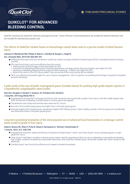

## **QUIKCLOT® FOR ADVANCED BLEEDING CONTROL**

*QuikClot® products are cleared for external use/surgical wounds. Some of the pre-clinical publications are outside the cleared indications and are included for educational purposes only.*

#### **The effects of QuikClot Combat Gauze on hemorrhage control when used in a porcine model of lethal femoral injury.**

#### Johnson D, Westbrook DM, Phelps D, Blanco J, Bentlye M, Burgert J, Gegel B.

#### Am J Disaster Med. 2014 Fall; 9(4):309-315.

- A lethal femoral artery and vein transection model was used to compare QuikClot Combat Gauze (QCG) to standard pressure dressing (control).
	- $\bullet$  QCG was found to be much more effective than the control:
		- Initial success of hemorrhage control was higher for QCG • Prevention of rebleeding following both induced hypertension and large volume fluid resuscitation was higher for QCG
		- Absence of rebleeding following active range of motion testing (p = 0.0001) was higher for QCG
		- None of the swine in the QCG group rebled. Only one animal in the control group did not rebleed."
	- "QCG is an effective hemostatic agent for use in trauma management. QCG is superior in controlling hemorrhage compared to standard pressure dressings."

#### **A pilot study of the use of kaolin-impregnated gauze (Combat Gauze) for packing high-grade hepatic injuries in a hypothermic coagulopathic swine model.**

#### Sena MJ, Douglas G, Gerlach T, Grayson JK, Pichakron KO, Zierold D.

#### J Surg Res. 2013 Aug;183(2):704-9.

- Coagulopathic animals (60% exchange transfusion with Hextend) were injured with a grade V liver injury in the left middle hepatic lobe. After 30 seconds of bleeding, Combat Gauze or control gauze was applied.
- $\bullet$  The abdomen was closed and animals were observed for 2 hours.
- Survival in the Combat Gauze group was higher than in the plain gauze group.
- "Animals treated with Combat Gauze maintained a higher MAP following injury…Most notably, animals in the CG group lost considerably less blood than those in the [plain gauze] group."

#### **Long-term preclinical evaluation of the intracorporeal use of advanced local hemostatics in a damage-control swine model of grade IV liver injury.**

#### Inaba K, Branco BC, Rhee P, Putty B, Okoye O, Barmparas G, Talving P, Demetriades D.

#### J Trauma. 2013; 74.2: 538-545.

- Evaluated the long-term safety and efficacy of QuikClot Combat Gauze®, Celox®, and Celox Gauze® versus standard gauze in a highgrade liver injury.
- Celox Gauze® had higher mortality at all time points, higher need for repacking at 48 hours due to rebleeding, more deaths by bleeding, and a higher incidence of deaths by small bowel obstruction than QuikClot Combat Gauze. All animals treated with Celox® products had adhesions.
- Combat Gauze® was found to be effective and created a durable hemostasis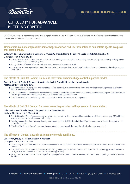

## **QUIKCLOT® FOR ADVANCED BLEEDING CONTROL**

*QuikClot® products are cleared for external use/surgical wounds. Some of the pre-clinical publications are outside the cleared indications and are included for educational purposes only.*

#### **Hemostasis in a noncompressible hemorrhage model: an end-user evaluation of hemostatic agents in a proximal arterial injury.**

Satterly S, Nelson D, Zwintscher N, Oguntoye M, Causey W, Theis B, Huang R, Haque M, Martin M, Bickett G, Rush RM Jr. J Surg Educ. 2013; 70.2: 206-211.

- Celox®, ChitoGauze®, Combat Gauze®, and HemCon® bandages were applied to arterial injuries by participants including military personnel and physicians due for deployment.
	- No signifcant difference in hemostasis was seen between the products used.
	- Combat Gauze® was reported as being "the most effective at controlling hemorrhage" and was "rated as the easiest dressing to use by the soldiers."

#### **The effects of QuikClot Combat Gauze and movement on hemorrhage control in porcine model.**

#### Gegel B, Burgert J, Gasko J, Campbell C, Martens M, Keck J, Reynolds H, Loughren M, Johnson D. Mil Med. 2012; 177.12: 1543-1547.

- QuikClot Combat Gauze® (QCG) and standard packing (control) were assessed in a static and moving hemorrhage model to simulate military and civilian trauma.
- QCG was found to be "statistically and clinically superior at controlling hemorrhage" over control standard packing and QuikClot Combat Gauze® "produces a more robust clot that can withstand signifcant movement."
- QCG "is an effective hemostatic agent for use in civilian and military trauma management."

#### **The effects of QuikClot Combat Gauze on hemorrhage control in the presence of hemodilution.**

#### Johnson D, Agee S, Reed A, Gegel B, Burgert J, Gasko J, Loughren M. US Army Med Dep J. 2012; 25.6: 36-39.

- QuikClot Combat Gauze® was assessed for hemorrhage control in the presence of hemodilution in a lethal femoral injury (30% of blood volume was removed and replaced with fluids).
- Results indicate that there was significantly less bleeding in the QuikClot Combat Gauze® group compared to the control group in this hemodilution study.
- "The QuikClot Combat Gauze® was easy to open, simple to use to pack the wound, and did not require premixing."

#### **The effcacy of Combat Gauze in extreme physiologic conditions.**

#### Causey MW, McVay DP, Miller S, Beekley A, Martin M.

#### J Surg Res. 2012; 177.2: 301-305.

- The effcacy of QuikClot Combat Gauze® was assessed in a model of severe acidosis and coagulopathy to mimic a post-traumatic environment.
- Combat Gauze® had a higher success rate in achieving hemostasis at 89% for the first and 100% for the second application than standard gauze (0% for the frst and 13% for the second application).
- Results indicate that Combat Gauze® significantly outperforms standard gauze dressings in this extreme physiologic model of a vasclar injury.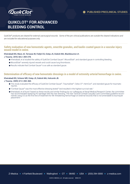

## **QUIKCLOT® FOR ADVANCED BLEEDING CONTROL**

*QuikClot® products are cleared for external use/surgical wounds. Some of the pre-clinical publications are outside the cleared indications and are included for educational purposes only.*

#### **Safety evaluation of new hemostatic agents, smectite granules, and kaolin-coated gauze in a vascular injury wound model in swine.**

Kheirabadi BS, Mace JE, Terrazas IB, Fedyk CG, Estep JS, Dubick MA, Blackbourne LH.

#### J Trauma. 2010; 68.2: 269-278.

- Kheirabadi, et al studied the safety of QuikClot Combat Gauze®, WoundStat®, and standard gauze in controlling bleeding.
	- WoundStat® severely injured vessels and could cause lung thrombosis.
	- Results indicate that Combat Gauze® is as safe as standard gauze.

#### **Determination of effcacy of new hemostatic dressings in a model of extremity arterial hemorrhage in swine.**

#### Kheirabadi BS, Scherer MR, Estep JS, Dubick MA, Holcomb JB. J Trauma. 2009; 67.3: 450-460.

- This study evaluated the effcacy of QuikClot Combat Gauze®, TraumaStat™, Celox-D™, HemCon®, and standard gauze for traumatic injuries.
- "Combat Gauze® was the most effective dressing tested""and resulted in the highest survival rate."
- Kheirabadi, et al found "based on these results and similar fndings by our colleagues at Naval Medical Research Center, the committee has recommended replacing HC bandage with the new dressing. The new Tactical Combat Casualty Care Committee guideline recommends using CG as the frst line of treatment for life-threatening hemorrhage on external wounds that is not amendable to tourniquet placement."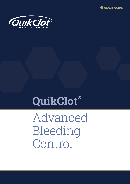



# **QuikClot®**

Advanced Bleeding Control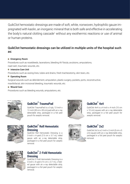QuikClot hemostatic dressings are made of soft, white, nonwoven, hydrophilic gauze impregnated with kaolin, an inorganic mineral that is both safe and effective in accelerating the body's natural clotting cascade<sup>1</sup> without any exothermic reactions or use of animal or human proteins.

## QuikClot hemostatic dressings can be utilized in multiple units of the hospital such as:

#### **Emergency Room**

Procedures such as nosebleeds, lacerations, bleeding AV fstula, avulsions, amputations, road rash, traumatic wounds, etc.

● Intensive Care Unit

Procedures such as oozing lines, tubes and drains, fresh tracheostomy, skin tears, etc.

#### ● Operating Room

Surgical wounds such as debridement, amputation, plastic surgery, pockets, ports, reconstructive, maxillofacial, skin incisional bleeding, traumatic wounds, etc.

#### ● Wound Care

Procedures such as bleeding wounds, amputations, etc.



## **QuikClot® TraumaPad**

QuikClot TraumaPad is a 3-ply, 12-inch x 12-inch (30 cm x 30 cm) pad with an x-ray detectable strip, packaged in a foil peel pouch for aseptic removal.



## **QuikClot® 4x4**

QuikClot 4x4 is a 4-inch x 4-inch (10 cm x 10 cm) square with an x-ray detectable strip, packaged in a foil peel pouch for aseptic removal.



#### **QuikClot® Roll Hemostatic Dressing**

QuikClot Roll Hemostatic Dressing is a 3-inch  $x$  4-yard (7.5 cm  $x$  3.7 m), rolled gauze with an x-ray detectable strip, packaged in a foil peel pouch for aseptic removal.



## **QuikClot® 2x2**

QuikClot 2x2 is a 2-inch x 2-inch (5 cm x 5 cm) square with an x-ray detectable strip, packaged in a foil peel pouch for aseptic removal.



### **QuikClot® Z-Fold Hemostatic Dressing**

QuikClot Z-Fold Hemostatic Dressing is a 3-inch x 4-yard (7.5 cm x 3.7 m), z-folded gauze with an x-ray detectable strip, packaged in a foil peel pouch for aseptic removal.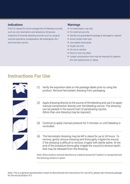### **Indications**

FDA/CE cleared for local management of bleeding wounds such as cuts, lacerations and abrasions, temporary treatment of severely bleeding wounds such as surgical wounds (operative, postoperative, dermatological, etc.) and traumatic injuries.

#### Warnings

- **For prescription use only**
- **For external use only**
- Sterility not quaranteed if package is damaged or opened
- Avoid contact with eyes
- Use aseptic techniques
- Single use only
- Do not re-sterilize
- Store in cool, dry place
- Longer compression time may be required for patients who are hypertensive or obese

## **Instructions For Use**







(2) Apply dressing directly to the source of the bleeding and use it to apply manual compression directly over the bleeding source. The dressing can be packed in the wound tract of penetrating injuries. (More than one dressing may be required.)





- (3) Continue to apply manual pressure for 5 minutes, or until bleeding is controlled.
- (4) The hemostatic dressing may be left in place for up to 24 hours. To remove, gently remove dressing and thoroughly irrigate the wound. If the dressing is difficult to remove, irrigate with sterile saline. At the end of the procedure thoroughly irrigate the wound to remove kaolin that may be released from the dressing.

Note: Show product removal directions to medical personnel if patient is transported and the dressing remains in place.